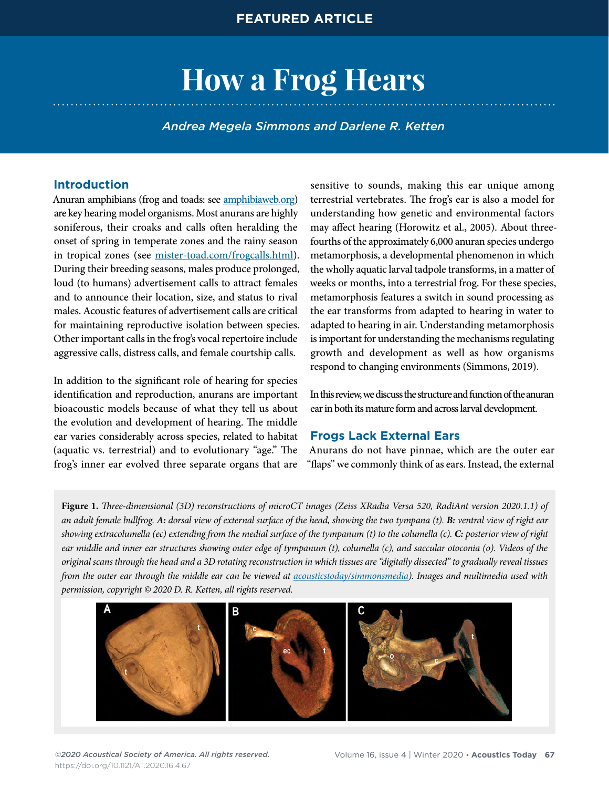# **How a Frog Hears**

*Andrea Megela Simmons and Darlene R. Ketten*

# **Introduction**

Anuran amphibians (frog and toads: see **[amphibiaweb.org](http://amphibiaweb.org)**) are key hearing model organisms. Most anurans are highly soniferous, their croaks and calls often heralding the onset of spring in temperate zones and the rainy season in tropical zones (see [mister-toad.com/frogcalls.html\)](http://mister-toad.com/frogcalls.html). During their breeding seasons, males produce prolonged, loud (to humans) advertisement calls to attract females and to announce their location, size, and status to rival males. Acoustic features of advertisement calls are critical for maintaining reproductive isolation between species. Other important calls in the frog's vocal repertoire include aggressive calls, distress calls, and female courtship calls.

In addition to the significant role of hearing for species identification and reproduction, anurans are important bioacoustic models because of what they tell us about the evolution and development of hearing. The middle ear varies considerably across species, related to habitat (aquatic vs. terrestrial) and to evolutionary "age." The frog's inner ear evolved three separate organs that are

sensitive to sounds, making this ear unique among terrestrial vertebrates. The frog's ear is also a model for understanding how genetic and environmental factors may affect hearing (Horowitz et al., 2005). About threefourths of the approximately 6,000 anuran species undergo metamorphosis, a developmental phenomenon in which the wholly aquatic larval tadpole transforms, in a matter of weeks or months, into a terrestrial frog. For these species, metamorphosis features a switch in sound processing as the ear transforms from adapted to hearing in water to adapted to hearing in air. Understanding metamorphosis is important for understanding the mechanisms regulating growth and development as well as how organisms respond to changing environments (Simmons, 2019).

In this review, we discuss the structure and function of the anuran ear in both its mature form and across larval development.

# **Frogs Lack External Ears**

Anurans do not have pinnae, which are the outer ear "flaps" we commonly think of as ears. Instead, the external

**Figure 1.** *Three-dimensional (3D) reconstructions of microCT images (Zeiss XRadia Versa 520, RadiAnt version 2020.1.1) of an adult female bullfrog. A: dorsal view of external surface of the head, showing the two tympana (t). B: ventral view of right ear showing extracolumella (ec) extending from the medial surface of the tympanum (t) to the columella (c). C: posterior view of right ear middle and inner ear structures showing outer edge of tympanum (t), columella (c), and saccular otoconia (o). Videos of the original scans through the head and a 3D rotating reconstruction in which tissues are "digitally dissected" to gradually reveal tissues from the outer ear through the middle ear can be viewed at <u>acousticstoday/simmonsmedia</u>). Images and multimedia used with permission, copyright © 2020 D. R. Ketten, all rights reserved.*

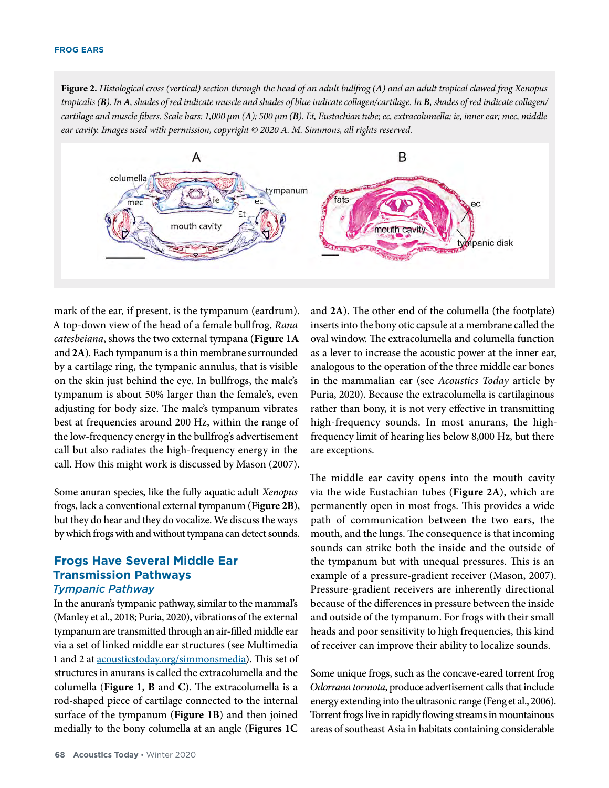**Figure 2.** *Histological cross (vertical) section through the head of an adult bullfrog (A) and an adult tropical clawed frog Xenopus tropicalis (B). In A, shades of red indicate muscle and shades of blue indicate collagen/cartilage. In B, shades of red indicate collagen/ cartilage and muscle fibers. Scale bars: 1,000 µm (A); 500 µm (B). Et, Eustachian tube; ec, extracolumella; ie, inner ear; mec, middle ear cavity. Images used with permission, copyright © 2020 A. M. Simmons, all rights reserved.*



mark of the ear, if present, is the tympanum (eardrum). A top-down view of the head of a female bullfrog, *Rana catesbeiana*, shows the two external tympana (**Figure 1A**  and **2A**). Each tympanum is a thin membrane surrounded by a cartilage ring, the tympanic annulus, that is visible on the skin just behind the eye. In bullfrogs, the male's tympanum is about 50% larger than the female's, even adjusting for body size. The male's tympanum vibrates best at frequencies around 200 Hz, within the range of the low-frequency energy in the bullfrog's advertisement call but also radiates the high-frequency energy in the call. How this might work is discussed by Mason (2007).

Some anuran species, like the fully aquatic adult *Xenopus*  frogs, lack a conventional external tympanum (**Figure 2B**), but they do hear and they do vocalize. We discuss the ways by which frogs with and without tympana can detect sounds.

# **Frogs Have Several Middle Ear Transmission Pathways**  *Tympanic Pathway*

In the anuran's tympanic pathway, similar to the mammal's (Manley et al., 2018; Puria, 2020), vibrations of the external tympanum are transmitted through an air-filled middle ear via a set of linked middle ear structures (see Multimedia 1 and 2 at [acousticstoday.org/simmonsmedia](http://acousticstoday.org/simmonsmedia)). This set of structures in anurans is called the extracolumella and the columella (**Figure 1, B** and **C**). The extracolumella is a rod-shaped piece of cartilage connected to the internal surface of the tympanum (**Figure 1B**) and then joined medially to the bony columella at an angle (**Figures 1C** 

and **2A**). The other end of the columella (the footplate) inserts into the bony otic capsule at a membrane called the oval window. The extracolumella and columella function as a lever to increase the acoustic power at the inner ear, analogous to the operation of the three middle ear bones in the mammalian ear (see *Acoustics Today* article by Puria, 2020). Because the extracolumella is cartilaginous rather than bony, it is not very effective in transmitting high-frequency sounds. In most anurans, the highfrequency limit of hearing lies below 8,000 Hz, but there are exceptions.

The middle ear cavity opens into the mouth cavity via the wide Eustachian tubes (**Figure 2A**), which are permanently open in most frogs. This provides a wide path of communication between the two ears, the mouth, and the lungs. The consequence is that incoming sounds can strike both the inside and the outside of the tympanum but with unequal pressures. This is an example of a pressure-gradient receiver (Mason, 2007). Pressure-gradient receivers are inherently directional because of the differences in pressure between the inside and outside of the tympanum. For frogs with their small heads and poor sensitivity to high frequencies, this kind of receiver can improve their ability to localize sounds.

Some unique frogs, such as the concave-eared torrent frog *Odorrana tormota*, produce advertisement calls that include energy extending into the ultrasonic range (Feng et al., 2006). Torrent frogs live in rapidly flowing streams in mountainous areas of southeast Asia in habitats containing considerable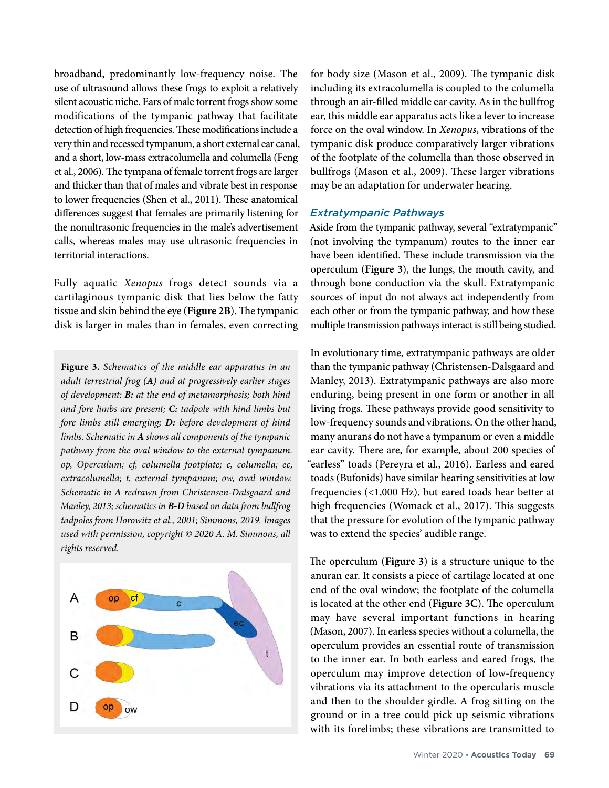broadband, predominantly low-frequency noise. The use of ultrasound allows these frogs to exploit a relatively silent acoustic niche. Ears of male torrent frogs show some modifications of the tympanic pathway that facilitate detection of high frequencies. These modifications include a very thin and recessed tympanum, a short external ear canal, and a short, low-mass extracolumella and columella (Feng et al., 2006). The tympana of female torrent frogs are larger and thicker than that of males and vibrate best in response to lower frequencies (Shen et al., 2011). These anatomical differences suggest that females are primarily listening for the nonultrasonic frequencies in the male's advertisement calls, whereas males may use ultrasonic frequencies in territorial interactions.

Fully aquatic *Xenopus* frogs detect sounds via a cartilaginous tympanic disk that lies below the fatty tissue and skin behind the eye (**Figure 2B**). The tympanic disk is larger in males than in females, even correcting

**Figure 3.** *Schematics of the middle ear apparatus in an adult terrestrial frog (A) and at progressively earlier stages of development: B: at the end of metamorphosis; both hind and fore limbs are present; C: tadpole with hind limbs but fore limbs still emerging; D: before development of hind limbs. Schematic in A shows all components of the tympanic pathway from the oval window to the external tympanum. op, Operculum; cf, columella footplate; c, columella; ec, extracolumella; t, external tympanum; ow, oval window. Schematic in A redrawn from Christensen-Dalsgaard and Manley, 2013; schematics in B-D based on data from bullfrog tadpoles from Horowitz et al., 2001; Simmons, 2019. Images used with permission, copyright © 2020 A. M. Simmons, all rights reserved.*



for body size (Mason et al., 2009). The tympanic disk including its extracolumella is coupled to the columella through an air-filled middle ear cavity. As in the bullfrog ear, this middle ear apparatus acts like a lever to increase force on the oval window. In *Xenopus*, vibrations of the tympanic disk produce comparatively larger vibrations of the footplate of the columella than those observed in bullfrogs (Mason et al., 2009). These larger vibrations may be an adaptation for underwater hearing.

# *Extratympanic Pathways*

Aside from the tympanic pathway, several "extratympanic" (not involving the tympanum) routes to the inner ear have been identified. These include transmission via the operculum (**Figure 3**), the lungs, the mouth cavity, and through bone conduction via the skull. Extratympanic sources of input do not always act independently from each other or from the tympanic pathway, and how these multiple transmission pathways interact is still being studied.

In evolutionary time, extratympanic pathways are older than the tympanic pathway (Christensen-Dalsgaard and Manley, 2013). Extratympanic pathways are also more enduring, being present in one form or another in all living frogs. These pathways provide good sensitivity to low-frequency sounds and vibrations. On the other hand, many anurans do not have a tympanum or even a middle ear cavity. There are, for example, about 200 species of "earless" toads (Pereyra et al., 2016). Earless and eared toads (Bufonids) have similar hearing sensitivities at low frequencies (<1,000 Hz), but eared toads hear better at high frequencies (Womack et al., 2017). This suggests that the pressure for evolution of the tympanic pathway was to extend the species' audible range.

The operculum (**Figure 3**) is a structure unique to the anuran ear. It consists a piece of cartilage located at one end of the oval window; the footplate of the columella is located at the other end (**Figure 3C**). The operculum may have several important functions in hearing (Mason, 2007). In earless species without a columella, the operculum provides an essential route of transmission to the inner ear. In both earless and eared frogs, the operculum may improve detection of low-frequency vibrations via its attachment to the opercularis muscle and then to the shoulder girdle. A frog sitting on the ground or in a tree could pick up seismic vibrations with its forelimbs; these vibrations are transmitted to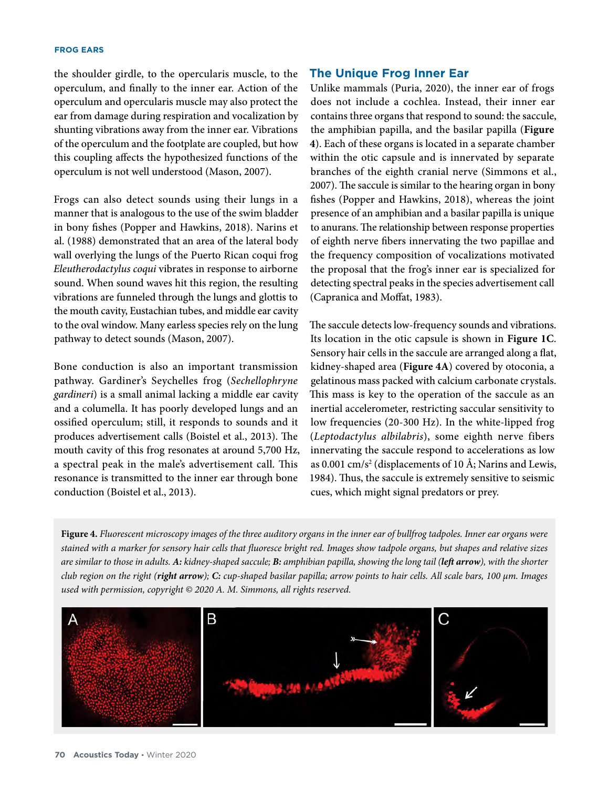the shoulder girdle, to the opercularis muscle, to the operculum, and finally to the inner ear. Action of the operculum and opercularis muscle may also protect the ear from damage during respiration and vocalization by shunting vibrations away from the inner ear. Vibrations of the operculum and the footplate are coupled, but how this coupling affects the hypothesized functions of the operculum is not well understood (Mason, 2007).

Frogs can also detect sounds using their lungs in a manner that is analogous to the use of the swim bladder in bony fishes (Popper and Hawkins, 2018). Narins et al. (1988) demonstrated that an area of the lateral body wall overlying the lungs of the Puerto Rican coqui frog *Eleutherodactylus coqui* vibrates in response to airborne sound. When sound waves hit this region, the resulting vibrations are funneled through the lungs and glottis to the mouth cavity, Eustachian tubes, and middle ear cavity to the oval window. Many earless species rely on the lung pathway to detect sounds (Mason, 2007).

Bone conduction is also an important transmission pathway. Gardiner's Seychelles frog (*Sechellophryne gardineri*) is a small animal lacking a middle ear cavity and a columella. It has poorly developed lungs and an ossified operculum; still, it responds to sounds and it produces advertisement calls (Boistel et al., 2013). The mouth cavity of this frog resonates at around 5,700 Hz, a spectral peak in the male's advertisement call. This resonance is transmitted to the inner ear through bone conduction (Boistel et al., 2013).

## **The Unique Frog Inner Ear**

Unlike mammals (Puria, 2020), the inner ear of frogs does not include a cochlea. Instead, their inner ear contains three organs that respond to sound: the saccule, the amphibian papilla, and the basilar papilla (**Figure 4**). Each of these organs is located in a separate chamber within the otic capsule and is innervated by separate branches of the eighth cranial nerve (Simmons et al., 2007). The saccule is similar to the hearing organ in bony fishes (Popper and Hawkins, 2018), whereas the joint presence of an amphibian and a basilar papilla is unique to anurans. The relationship between response properties of eighth nerve fibers innervating the two papillae and the frequency composition of vocalizations motivated the proposal that the frog's inner ear is specialized for detecting spectral peaks in the species advertisement call (Capranica and Moffat, 1983).

The saccule detects low-frequency sounds and vibrations. Its location in the otic capsule is shown in **Figure 1C**. Sensory hair cells in the saccule are arranged along a flat, kidney-shaped area (**Figure 4A**) covered by otoconia, a gelatinous mass packed with calcium carbonate crystals. This mass is key to the operation of the saccule as an inertial accelerometer, restricting saccular sensitivity to low frequencies (20-300 Hz). In the white-lipped frog (*Leptodactylus albilabris*), some eighth nerve fibers innervating the saccule respond to accelerations as low as  $0.001 \text{ cm/s}^2$  (displacements of 10 Å; Narins and Lewis, 1984). Thus, the saccule is extremely sensitive to seismic cues, which might signal predators or prey.

**Figure 4.** *Fluorescent microscopy images of the three auditory organs in the inner ear of bullfrog tadpoles. Inner ear organs were stained with a marker for sensory hair cells that fluoresce bright red. Images show tadpole organs, but shapes and relative sizes are similar to those in adults. A: kidney-shaped saccule; B: amphibian papilla, showing the long tail (left arrow), with the shorter club region on the right (right arrow); C: cup-shaped basilar papilla; arrow points to hair cells. All scale bars, 100 µm. Images used with permission, copyright © 2020 A. M. Simmons, all rights reserved.*

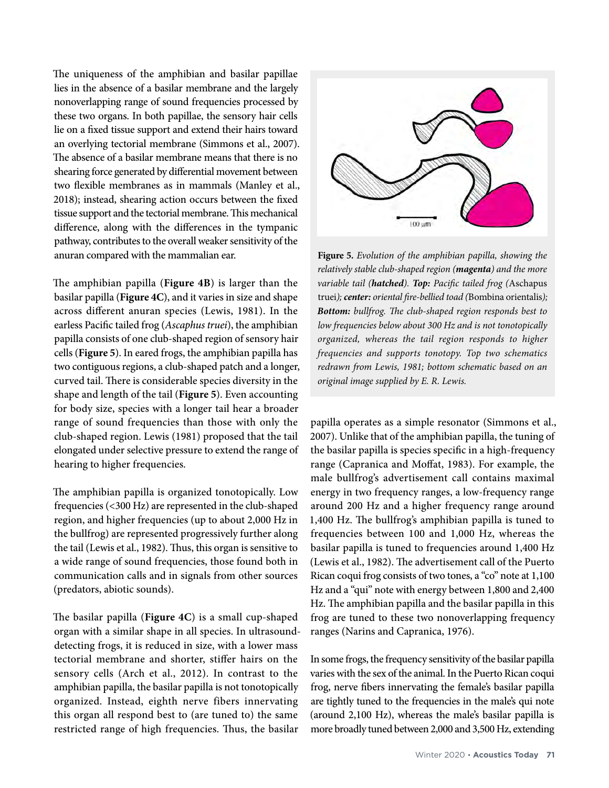The uniqueness of the amphibian and basilar papillae lies in the absence of a basilar membrane and the largely nonoverlapping range of sound frequencies processed by these two organs. In both papillae, the sensory hair cells lie on a fixed tissue support and extend their hairs toward an overlying tectorial membrane (Simmons et al., 2007). The absence of a basilar membrane means that there is no shearing force generated by differential movement between two flexible membranes as in mammals (Manley et al., 2018); instead, shearing action occurs between the fixed tissue support and the tectorial membrane. This mechanical difference, along with the differences in the tympanic pathway, contributes to the overall weaker sensitivity of the anuran compared with the mammalian ear.

The amphibian papilla (**Figure 4B**) is larger than the basilar papilla (**Figure 4C**), and it varies in size and shape across different anuran species (Lewis, 1981). In the earless Pacific tailed frog (*Ascaphus truei*), the amphibian papilla consists of one club-shaped region of sensory hair cells (**Figure 5**). In eared frogs, the amphibian papilla has two contiguous regions, a club-shaped patch and a longer, curved tail. There is considerable species diversity in the shape and length of the tail (**Figure 5**). Even accounting for body size, species with a longer tail hear a broader range of sound frequencies than those with only the club-shaped region. Lewis (1981) proposed that the tail elongated under selective pressure to extend the range of hearing to higher frequencies.

The amphibian papilla is organized tonotopically. Low frequencies (<300 Hz) are represented in the club-shaped region, and higher frequencies (up to about 2,000 Hz in the bullfrog) are represented progressively further along the tail (Lewis et al., 1982). Thus, this organ is sensitive to a wide range of sound frequencies, those found both in communication calls and in signals from other sources (predators, abiotic sounds).

The basilar papilla (**Figure 4C**) is a small cup-shaped organ with a similar shape in all species. In ultrasounddetecting frogs, it is reduced in size, with a lower mass tectorial membrane and shorter, stiffer hairs on the sensory cells (Arch et al., 2012). In contrast to the amphibian papilla, the basilar papilla is not tonotopically organized. Instead, eighth nerve fibers innervating this organ all respond best to (are tuned to) the same restricted range of high frequencies. Thus, the basilar



**Figure 5.** *Evolution of the amphibian papilla, showing the relatively stable club-shaped region (magenta) and the more variable tail (hatched). Top: Pacific tailed frog (*Aschapus truei*); center: oriental fire-bellied toad (*Bombina orientalis*); Bottom: bullfrog. The club-shaped region responds best to low frequencies below about 300 Hz and is not tonotopically organized, whereas the tail region responds to higher frequencies and supports tonotopy. Top two schematics redrawn from Lewis, 1981; bottom schematic based on an original image supplied by E. R. Lewis.* 

papilla operates as a simple resonator (Simmons et al., 2007). Unlike that of the amphibian papilla, the tuning of the basilar papilla is species specific in a high-frequency range (Capranica and Moffat, 1983). For example, the male bullfrog's advertisement call contains maximal energy in two frequency ranges, a low-frequency range around 200 Hz and a higher frequency range around 1,400 Hz. The bullfrog's amphibian papilla is tuned to frequencies between 100 and 1,000 Hz, whereas the basilar papilla is tuned to frequencies around 1,400 Hz (Lewis et al., 1982). The advertisement call of the Puerto Rican coqui frog consists of two tones, a "co" note at 1,100 Hz and a "qui" note with energy between 1,800 and 2,400 Hz. The amphibian papilla and the basilar papilla in this frog are tuned to these two nonoverlapping frequency ranges (Narins and Capranica, 1976).

In some frogs, the frequency sensitivity of the basilar papilla varies with the sex of the animal. In the Puerto Rican coqui frog, nerve fibers innervating the female's basilar papilla are tightly tuned to the frequencies in the male's qui note (around 2,100 Hz), whereas the male's basilar papilla is more broadly tuned between 2,000 and 3,500 Hz, extending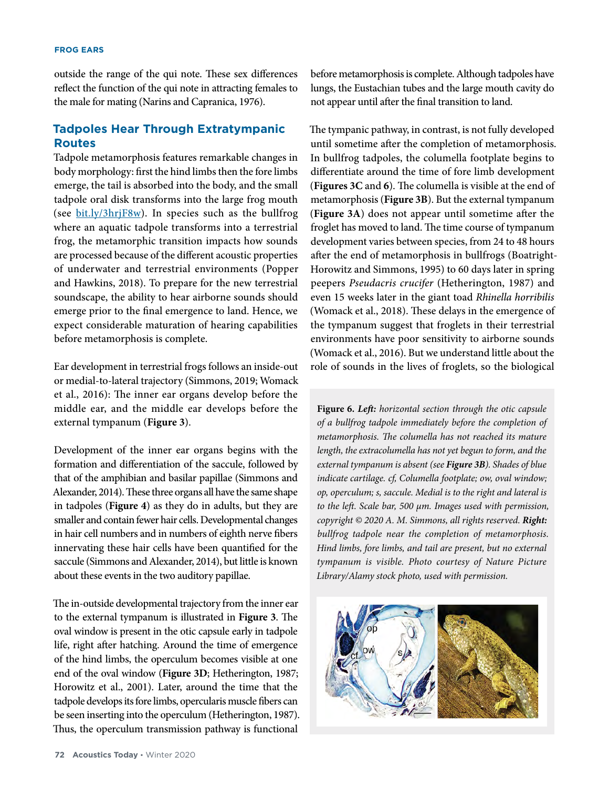outside the range of the qui note. These sex differences reflect the function of the qui note in attracting females to the male for mating (Narins and Capranica, 1976).

# **Tadpoles Hear Through Extratympanic Routes**

Tadpole metamorphosis features remarkable changes in body morphology: first the hind limbs then the fore limbs emerge, the tail is absorbed into the body, and the small tadpole oral disk transforms into the large frog mouth (see [bit.ly/3hrjF8w\)](http://bit.ly/3hrjF8w). In species such as the bullfrog where an aquatic tadpole transforms into a terrestrial frog, the metamorphic transition impacts how sounds are processed because of the different acoustic properties of underwater and terrestrial environments (Popper and Hawkins, 2018). To prepare for the new terrestrial soundscape, the ability to hear airborne sounds should emerge prior to the final emergence to land. Hence, we expect considerable maturation of hearing capabilities before metamorphosis is complete.

Ear development in terrestrial frogs follows an inside-out or medial-to-lateral trajectory (Simmons, 2019; Womack et al., 2016): The inner ear organs develop before the middle ear, and the middle ear develops before the external tympanum (**Figure 3**).

Development of the inner ear organs begins with the formation and differentiation of the saccule, followed by that of the amphibian and basilar papillae (Simmons and Alexander, 2014). These three organs all have the same shape in tadpoles (**Figure 4**) as they do in adults, but they are smaller and contain fewer hair cells. Developmental changes in hair cell numbers and in numbers of eighth nerve fibers innervating these hair cells have been quantified for the saccule (Simmons and Alexander, 2014), but little is known about these events in the two auditory papillae.

The in-outside developmental trajectory from the inner ear to the external tympanum is illustrated in **Figure 3**. The oval window is present in the otic capsule early in tadpole life, right after hatching. Around the time of emergence of the hind limbs, the operculum becomes visible at one end of the oval window (**Figure 3D**; Hetherington, 1987; Horowitz et al., 2001). Later, around the time that the tadpole develops its fore limbs, opercularis muscle fibers can be seen inserting into the operculum (Hetherington, 1987). Thus, the operculum transmission pathway is functional

before metamorphosis is complete. Although tadpoles have lungs, the Eustachian tubes and the large mouth cavity do not appear until after the final transition to land.

The tympanic pathway, in contrast, is not fully developed until sometime after the completion of metamorphosis. In bullfrog tadpoles, the columella footplate begins to differentiate around the time of fore limb development (**Figures 3C** and **6**). The columella is visible at the end of metamorphosis (**Figure 3B**). But the external tympanum (**Figure 3A**) does not appear until sometime after the froglet has moved to land. The time course of tympanum development varies between species, from 24 to 48 hours after the end of metamorphosis in bullfrogs (Boatright-Horowitz and Simmons, 1995) to 60 days later in spring peepers *Pseudacris crucifer* (Hetherington, 1987) and even 15 weeks later in the giant toad *Rhinella horribilis* (Womack et al., 2018). These delays in the emergence of the tympanum suggest that froglets in their terrestrial environments have poor sensitivity to airborne sounds (Womack et al., 2016). But we understand little about the role of sounds in the lives of froglets, so the biological

**Figure 6.** *Left: horizontal section through the otic capsule of a bullfrog tadpole immediately before the completion of metamorphosis. The columella has not reached its mature length, the extracolumella has not yet begun to form, and the external tympanum is absent (see Figure 3B). Shades of blue indicate cartilage. cf, Columella footplate; ow, oval window; op, operculum; s, saccule. Medial is to the right and lateral is to the left. Scale bar, 500 µm. Images used with permission, copyright © 2020 A. M. Simmons, all rights reserved. Right: bullfrog tadpole near the completion of metamorphosis. Hind limbs, fore limbs, and tail are present, but no external tympanum is visible. Photo courtesy of Nature Picture Library/Alamy stock photo, used with permission.*

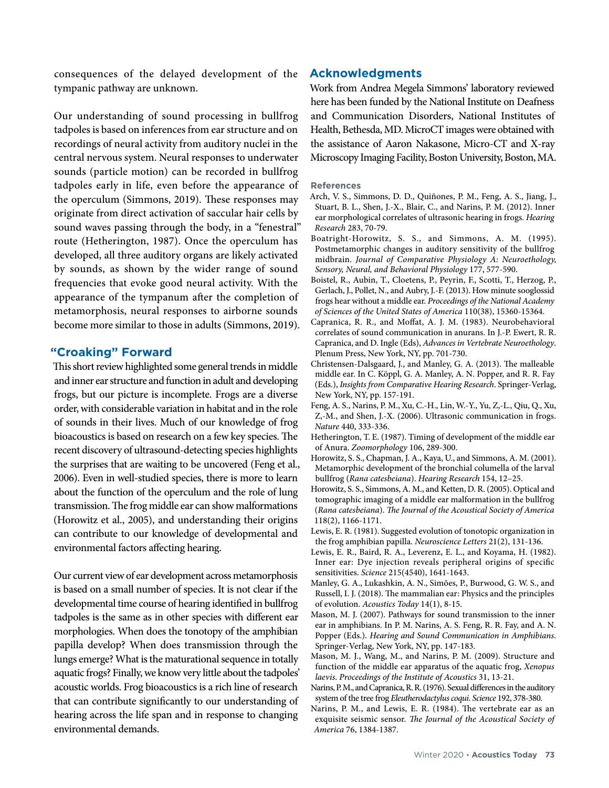consequences of the delayed development of the tympanic pathway are unknown.

Our understanding of sound processing in bullfrog tadpoles is based on inferences from ear structure and on recordings of neural activity from auditory nuclei in the central nervous system. Neural responses to underwater sounds (particle motion) can be recorded in bullfrog tadpoles early in life, even before the appearance of the operculum (Simmons, 2019). These responses may originate from direct activation of saccular hair cells by sound waves passing through the body, in a "fenestral" route (Hetherington, 1987). Once the operculum has developed, all three auditory organs are likely activated by sounds, as shown by the wider range of sound frequencies that evoke good neural activity. With the appearance of the tympanum after the completion of metamorphosis, neural responses to airborne sounds become more similar to those in adults (Simmons, 2019).

# **"Croaking" Forward**

This short review highlighted some general trends in middle and inner ear structure and function in adult and developing frogs, but our picture is incomplete. Frogs are a diverse order, with considerable variation in habitat and in the role of sounds in their lives. Much of our knowledge of frog bioacoustics is based on research on a few key species. The recent discovery of ultrasound-detecting species highlights the surprises that are waiting to be uncovered (Feng et al., 2006). Even in well-studied species, there is more to learn about the function of the operculum and the role of lung transmission. The frog middle ear can show malformations (Horowitz et al., 2005), and understanding their origins can contribute to our knowledge of developmental and environmental factors affecting hearing.

Our current view of ear development across metamorphosis is based on a small number of species. It is not clear if the developmental time course of hearing identified in bullfrog tadpoles is the same as in other species with different ear morphologies. When does the tonotopy of the amphibian papilla develop? When does transmission through the lungs emerge? What is the maturational sequence in totally aquatic frogs? Finally, we know very little about the tadpoles' acoustic worlds. Frog bioacoustics is a rich line of research that can contribute significantly to our understanding of hearing across the life span and in response to changing environmental demands.

# **Acknowledgments**

Work from Andrea Megela Simmons' laboratory reviewed here has been funded by the National Institute on Deafness and Communication Disorders, National Institutes of Health, Bethesda, MD. MicroCT images were obtained with the assistance of Aaron Nakasone, Micro-CT and X-ray Microscopy Imaging Facility, Boston University, Boston, MA.

#### **References**

- Arch, V. S., Simmons, D. D., Quiñones, P. M., Feng, A. S., Jiang, J., Stuart, B. L., Shen, J.-X., Blair, C., and Narins, P. M. (2012). Inner ear morphological correlates of ultrasonic hearing in frogs. *Hearing Research* 283, 70-79.
- Boatright-Horowitz, S. S., and Simmons, A. M. (1995). Postmetamorphic changes in auditory sensitivity of the bullfrog midbrain. *Journal of Comparative Physiology A: Neuroethology, Sensory, Neural, and Behavioral Physiology* 177, 577-590.
- Boistel, R., Aubin, T., Cloetens, P., Peyrin, F., Scotti, T., Herzog, P., Gerlach, J., Pollet, N., and Aubry, J.-F. (2013). How minute sooglossid frogs hear without a middle ear. *Proceedings of the National Academy of Sciences of the United States of America* 110(38), 15360-15364.
- Capranica, R. R., and Moffat, A. J. M. (1983). Neurobehavioral correlates of sound communication in anurans. In J.-P. Ewert, R. R. Capranica, and D. Ingle (Eds), *Advances in Vertebrate Neuroethology*. Plenum Press, New York, NY, pp. 701-730.
- Christensen-Dalsgaard, J., and Manley, G. A. (2013). The malleable middle ear. In C. Köppl, G. A. Manley, A. N. Popper, and R. R. Fay (Eds.), *Insights from Comparative Hearing Research*. Springer-Verlag, New York, NY, pp. 157-191.
- Feng, A. S., Narins, P. M., Xu, C.-H., Lin, W.-Y., Yu, Z,-L., Qiu, Q., Xu, Z,-M., and Shen, J.-X. (2006). Ultrasonic communication in frogs. *Nature* 440, 333-336.
- Hetherington, T. E. (1987). Timing of development of the middle ear of Anura. *Zoomorphology* 106, 289-300.
- Horowitz, S. S., Chapman, J. A., Kaya, U., and Simmons, A. M. (2001). Metamorphic development of the bronchial columella of the larval bullfrog (*Rana catesbeiana*). *Hearing Research* 154, 12–25.
- Horowitz, S. S., Simmons, A. M., and Ketten, D. R. (2005). Optical and tomographic imaging of a middle ear malformation in the bullfrog (*Rana catesbeiana*). *The Journal of the Acoustical Society of America* 118(2), 1166-1171.
- Lewis, E. R. (1981). Suggested evolution of tonotopic organization in the frog amphibian papilla. *Neuroscience Letters* 21(2), 131-136.
- Lewis, E. R., Baird, R. A., Leverenz, E. L., and Koyama, H. (1982). Inner ear: Dye injection reveals peripheral origins of specific sensitivities. *Science* 215(4540), 1641-1643.
- Manley, G. A., Lukashkin, A. N., Simões, P., Burwood, G. W. S., and Russell, I. J. (2018). The mammalian ear: Physics and the principles of evolution. *Acoustics Today* 14(1), 8-15.
- Mason, M. J. (2007). Pathways for sound transmission to the inner ear in amphibians. In P. M. Narins, A. S. Feng, R. R. Fay, and A. N. Popper (Eds.). *Hearing and Sound Communication in Amphibians*. Springer-Verlag, New York, NY, pp. 147-183.
- Mason, M. J., Wang, M., and Narins, P. M. (2009). Structure and function of the middle ear apparatus of the aquatic frog, *Xenopus laevis*. *Proceedings of the Institute of Acoustics* 31, 13-21.
- Narins, P. M., and Capranica, R. R. (1976). Sexual differences in the auditory system of the tree frog *Eleutherodactylus coqui*. *Science* 192, 378-380.
- Narins, P. M., and Lewis, E. R. (1984). The vertebrate ear as an exquisite seismic sensor. *The Journal of the Acoustical Society of America* 76, 1384-1387.